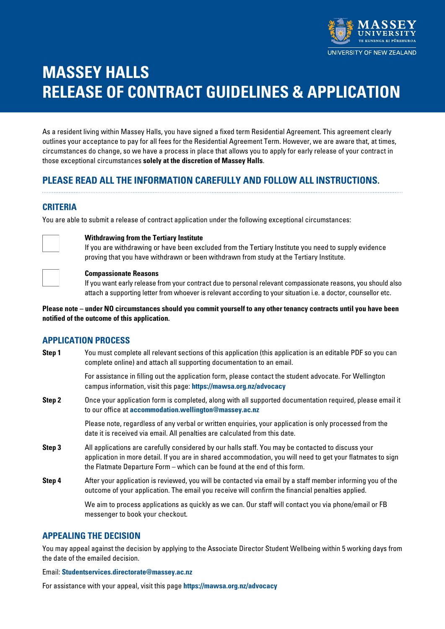

# **MASSEY HALLS RELEASE OF CONTRACT GUIDELINES & APPLICATION**

As a resident living within Massey Halls, you have signed a fixed term Residential Agreement. This agreement clearly outlines your acceptance to pay for all fees for the Residential Agreement Term. However, we are aware that, at times, circumstances do change, so we have a process in place that allows you to apply for early release of your contract in those exceptional circumstances **solely at the discretion of Massey Halls**.

### **PLEASE READ ALL THE INFORMATION CAREFULLY AND FOLLOW ALL INSTRUCTIONS.**

### **CRITERIA**

You are able to submit a release of contract application under the following exceptional circumstances:



### **Withdrawing from the Tertiary Institute**

If you are withdrawing or have been excluded from the Tertiary Institute you need to supply evidence proving that you have withdrawn or been withdrawn from study at the Tertiary Institute.



#### **Compassionate Reasons**

If you want early release from your contract due to personal relevant compassionate reasons, you should also attach a supporting letter from whoever is relevant according to your situation i.e. a doctor, counsellor etc.

**Please note – under NO circumstances should you commit yourself to any other tenancy contracts until you have been notified of the outcome of this application.** 

### **APPLICATION PROCESS**

**Step 1** You must complete all relevant sections of this application (this application is an editable PDF so you can complete online) and attach all supporting documentation to an email.

> For assistance in filling out the application form, please contact the student advocate. For Wellington campus information, visit this page: **<https://mawsa.org.nz/advocacy>**

**Step 2** Once your application form is completed, along with all supported documentation required, please email it to our office at **[accommodation.wellington@massey.ac.nz](mailto:accommodation.wellington%40massey.ac.nz?subject=)**

> Please note, regardless of any verbal or written enquiries, your application is only processed from the date it is received via email. All penalties are calculated from this date.

- **Step 3** All applications are carefully considered by our halls staff. You may be contacted to discuss your application in more detail. If you are in shared accommodation, you will need to get your flatmates to sign the Flatmate Departure Form – which can be found at the end of this form.
- **Step 4** After your application is reviewed, you will be contacted via email by a staff member informing you of the outcome of your application. The email you receive will confirm the financial penalties applied.

We aim to process applications as quickly as we can. Our staff will contact you via phone/email or FB messenger to book your checkout.

### **APPEALING THE DECISION**

You may appeal against the decision by applying to the Associate Director Student Wellbeing within 5 working days from the date of the emailed decision.

#### Email: **[Studentservices.directorate@massey.ac.nz](mailto:Studentservices.directorate%40massey.ac.nz?subject=)**

For assistance with your appeal, visit this page **<https://mawsa.org.nz/advocacy>**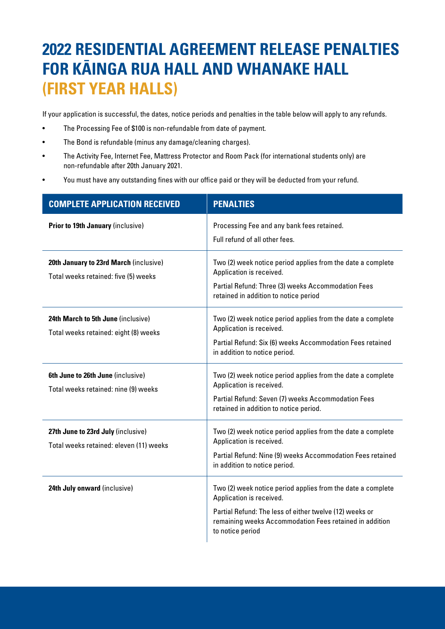# **2022 RESIDENTIAL AGREEMENT RELEASE PENALTIES FOR KÄINGA RUA HALL AND WHANAKE HALL (FIRST YEAR HALLS)**

If your application is successful, the dates, notice periods and penalties in the table below will apply to any refunds.

- The Processing Fee of \$100 is non-refundable from date of payment.
- The Bond is refundable (minus any damage/cleaning charges).
- The Activity Fee, Internet Fee, Mattress Protector and Room Pack (for international students only) are non-refundable after 20th January 2021.
- You must have any outstanding fines with our office paid or they will be deducted from your refund.

| <b>COMPLETE APPLICATION RECEIVED</b>                                           | <b>PENALTIES</b>                                                                                                                                                                                                                  |
|--------------------------------------------------------------------------------|-----------------------------------------------------------------------------------------------------------------------------------------------------------------------------------------------------------------------------------|
| <b>Prior to 19th January (inclusive)</b>                                       | Processing Fee and any bank fees retained.<br>Full refund of all other fees.                                                                                                                                                      |
| 20th January to 23rd March (inclusive)<br>Total weeks retained: five (5) weeks | Two (2) week notice period applies from the date a complete<br>Application is received.<br>Partial Refund: Three (3) weeks Accommodation Fees<br>retained in addition to notice period                                            |
| 24th March to 5th June (inclusive)<br>Total weeks retained: eight (8) weeks    | Two (2) week notice period applies from the date a complete<br>Application is received.<br>Partial Refund: Six (6) weeks Accommodation Fees retained<br>in addition to notice period.                                             |
| 6th June to 26th June (inclusive)<br>Total weeks retained: nine (9) weeks      | Two (2) week notice period applies from the date a complete<br>Application is received.<br>Partial Refund: Seven (7) weeks Accommodation Fees<br>retained in addition to notice period.                                           |
| 27th June to 23rd July (inclusive)<br>Total weeks retained: eleven (11) weeks  | Two (2) week notice period applies from the date a complete<br>Application is received.<br>Partial Refund: Nine (9) weeks Accommodation Fees retained<br>in addition to notice period.                                            |
| 24th July onward (inclusive)                                                   | Two (2) week notice period applies from the date a complete<br>Application is received.<br>Partial Refund: The less of either twelve (12) weeks or<br>remaining weeks Accommodation Fees retained in addition<br>to notice period |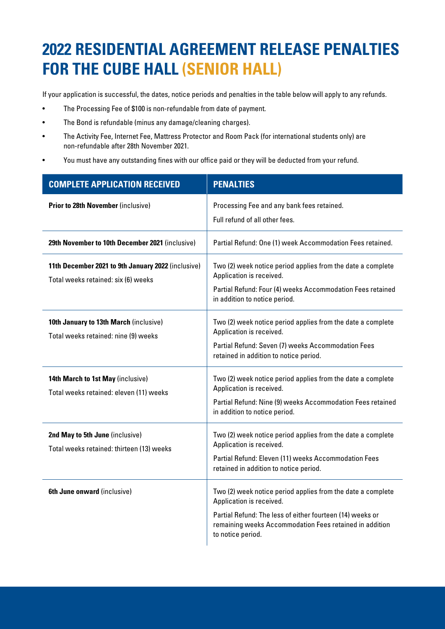# **2022 RESIDENTIAL AGREEMENT RELEASE PENALTIES FOR THE CUBE HALL (SENIOR HALL)**

If your application is successful, the dates, notice periods and penalties in the table below will apply to any refunds.

- The Processing Fee of \$100 is non-refundable from date of payment.
- The Bond is refundable (minus any damage/cleaning charges).
- The Activity Fee, Internet Fee, Mattress Protector and Room Pack (for international students only) are non-refundable after 28th November 2021.
- You must have any outstanding fines with our office paid or they will be deducted from your refund.

| <b>COMPLETE APPLICATION RECEIVED</b>                                                      | <b>PENALTIES</b>                                                                                                                                                                                                                     |
|-------------------------------------------------------------------------------------------|--------------------------------------------------------------------------------------------------------------------------------------------------------------------------------------------------------------------------------------|
| Prior to 28th November (inclusive)                                                        | Processing Fee and any bank fees retained.<br>Full refund of all other fees.                                                                                                                                                         |
| 29th November to 10th December 2021 (inclusive)                                           | Partial Refund: One (1) week Accommodation Fees retained.                                                                                                                                                                            |
| 11th December 2021 to 9th January 2022 (inclusive)<br>Total weeks retained: six (6) weeks | Two (2) week notice period applies from the date a complete<br>Application is received.<br>Partial Refund: Four (4) weeks Accommodation Fees retained<br>in addition to notice period.                                               |
| 10th January to 13th March (inclusive)<br>Total weeks retained: nine (9) weeks            | Two (2) week notice period applies from the date a complete<br>Application is received.<br>Partial Refund: Seven (7) weeks Accommodation Fees<br>retained in addition to notice period.                                              |
| 14th March to 1st May (inclusive)<br>Total weeks retained: eleven (11) weeks              | Two (2) week notice period applies from the date a complete<br>Application is received.<br>Partial Refund: Nine (9) weeks Accommodation Fees retained<br>in addition to notice period.                                               |
| 2nd May to 5th June (inclusive)<br>Total weeks retained: thirteen (13) weeks              | Two (2) week notice period applies from the date a complete<br>Application is received.<br>Partial Refund: Eleven (11) weeks Accommodation Fees<br>retained in addition to notice period.                                            |
| 6th June onward (inclusive)                                                               | Two (2) week notice period applies from the date a complete<br>Application is received.<br>Partial Refund: The less of either fourteen (14) weeks or<br>remaining weeks Accommodation Fees retained in addition<br>to notice period. |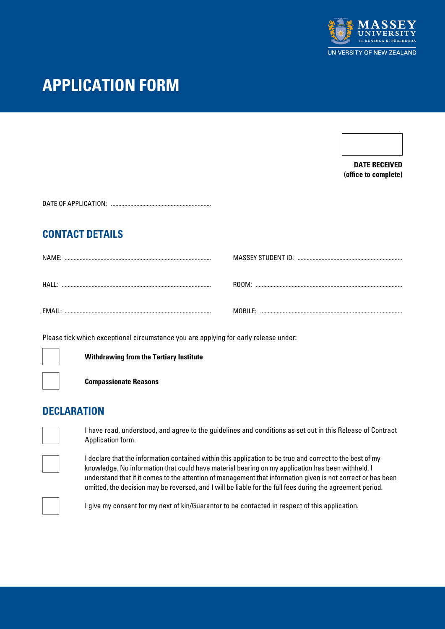

## **APPLICATION FORM**

**DATE RECEIVED (office to complete)**

| DATE OF APPLICATION: |  |
|----------------------|--|
|                      |  |

## **CONTACT DETAILS**

| NAMF:        |                   |
|--------------|-------------------|
| HAII.        | ROOM <sup>.</sup> |
|              |                   |
|              | MORII F           |
| <b>FMAII</b> |                   |

Please tick which exceptional circumstance you are applying for early release under:



**Withdrawing from the Tertiary Institute**

**Compassionate Reasons** 

## **DECLARATION**

I have read, understood, and agree to the guidelines and conditions as set out in this Release of Contract Application form.

I declare that the information contained within this application to be true and correct to the best of my knowledge. No information that could have material bearing on my application has been withheld. I understand that if it comes to the attention of management that information given is not correct or has been omitted, the decision may be reversed, and I will be liable for the full fees during the agreement period.



I give my consent for my next of kin/Guarantor to be contacted in respect of this application.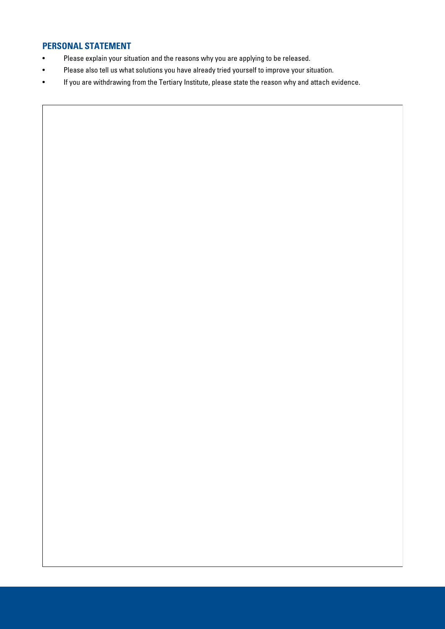### **PERSONAL STATEMENT**

- Please explain your situation and the reasons why you are applying to be released.
- Please also tell us what solutions you have already tried yourself to improve your situation.
- If you are withdrawing from the Tertiary Institute, please state the reason why and attach evidence.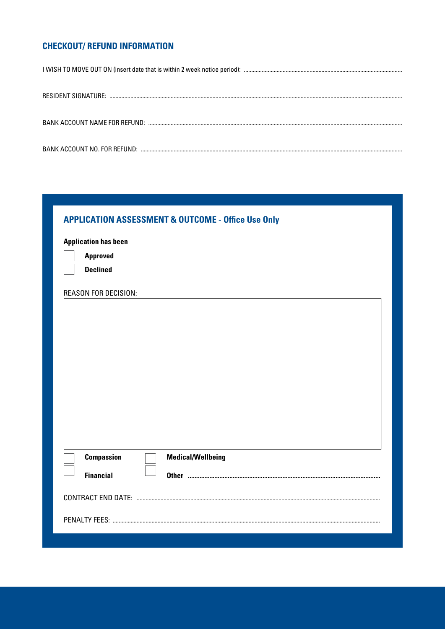## **CHECKOUT/ REFUND INFORMATION**

| <b>APPLICATION ASSESSMENT &amp; OUTCOME - Office Use Only</b> |  |
|---------------------------------------------------------------|--|
| <b>Application has been</b>                                   |  |
| <b>Approved</b>                                               |  |
| <b>Declined</b>                                               |  |
| <b>REASON FOR DECISION:</b>                                   |  |
|                                                               |  |
|                                                               |  |
|                                                               |  |
|                                                               |  |
|                                                               |  |
|                                                               |  |
|                                                               |  |
|                                                               |  |
|                                                               |  |
| <b>Compassion</b><br><b>Medical/Wellbeing</b>                 |  |
| <b>Financial</b>                                              |  |
|                                                               |  |
|                                                               |  |
|                                                               |  |
|                                                               |  |